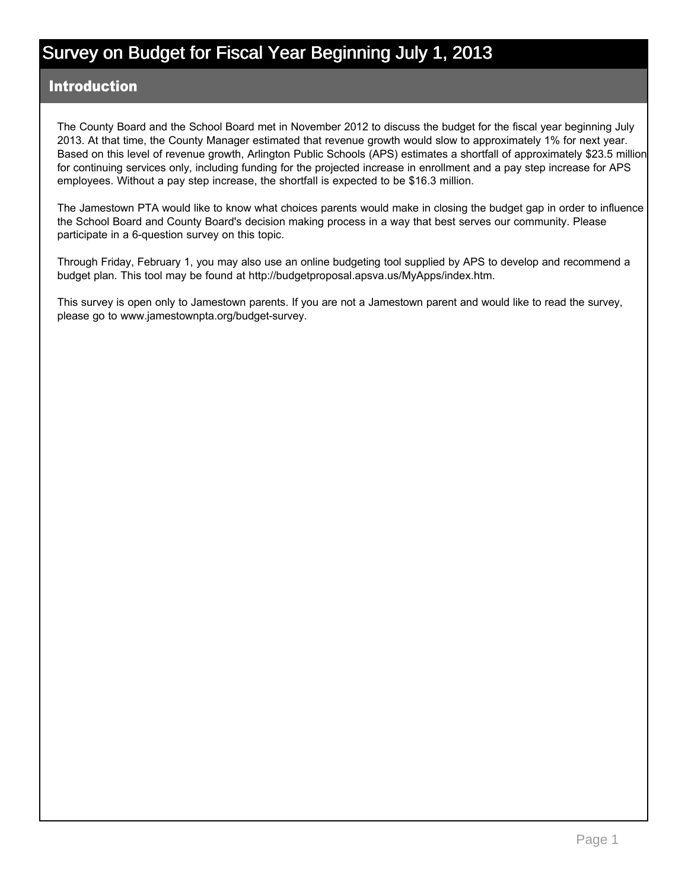#### Introduction

The County Board and the School Board met in November 2012 to discuss the budget for the fiscal year beginning July 2013. At that time, the County Manager estimated that revenue growth would slow to approximately 1% for next year. Based on this level of revenue growth, Arlington Public Schools (APS) estimates a shortfall of approximately \$23.5 million for continuing services only, including funding for the projected increase in enrollment and a pay step increase for APS employees. Without a pay step increase, the shortfall is expected to be \$16.3 million.

The Jamestown PTA would like to know what choices parents would make in closing the budget gap in order to influence the School Board and County Board's decision making process in a way that best serves our community. Please participate in a 6-question survey on this topic.

Through Friday, February 1, you may also use an online budgeting tool supplied by APS to develop and recommend a budget plan. This tool may be found at http://budgetproposal.apsva.us/MyApps/index.htm.

This survey is open only to Jamestown parents. If you are not a Jamestown parent and would like to read the survey, please go to www.jamestownpta.org/budget-survey.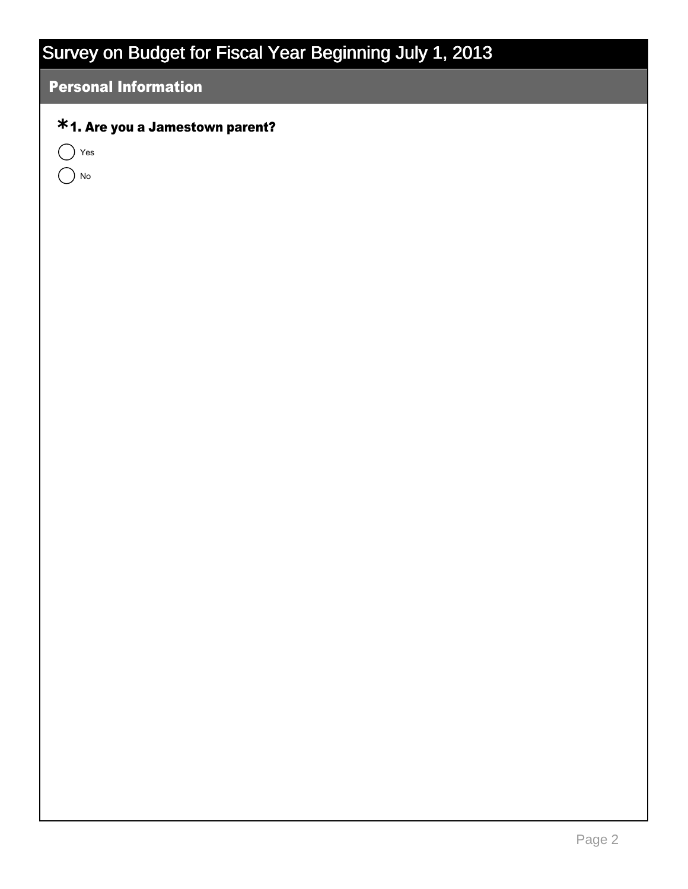### Personal Information

### 1. Are you a Jamestown parent? **\***

 $\bigcap$  Yes

 $\bigcap$  No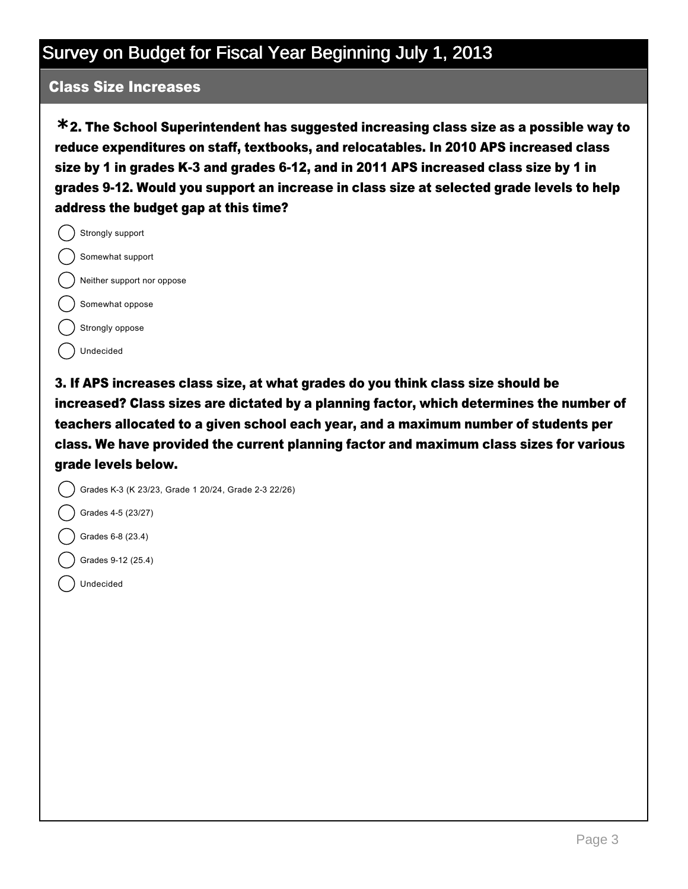#### Class Size Increases

2. The School Superintendent has suggested increasing class size as a possible way to **\*** reduce expenditures on staff, textbooks, and relocatables. In 2010 APS increased class size by 1 in grades K-3 and grades 6-12, and in 2011 APS increased class size by 1 in grades 9-12. Would you support an increase in class size at selected grade levels to help address the budget gap at this time?

Strongly support Somewhat support Neither support nor oppose Somewhat oppose Strongly oppose Undecided

3. If APS increases class size, at what grades do you think class size should be increased? Class sizes are dictated by a planning factor, which determines the number of teachers allocated to a given school each year, and a maximum number of students per class. We have provided the current planning factor and maximum class sizes for various grade levels below.



Grades 4-5 (23/27)

- Grades 6-8 (23.4)
- Grades 9-12 (25.4)
- Undecided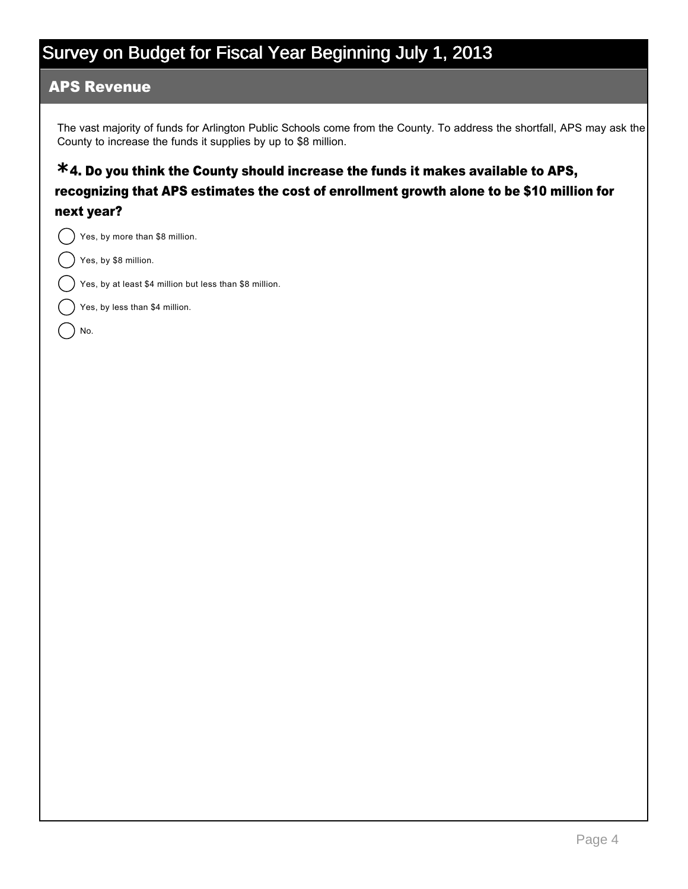#### APS Revenue

The vast majority of funds for Arlington Public Schools come from the County. To address the shortfall, APS may ask the County to increase the funds it supplies by up to \$8 million.

### 4. Do you think the County should increase the funds it makes available to APS, **\*** recognizing that APS estimates the cost of enrollment growth alone to be \$10 million for next year?

Yes, by more than \$8 million.

Yes, by \$8 million.

No.

Yes, by at least \$4 million but less than \$8 million.

Yes, by less than \$4 million.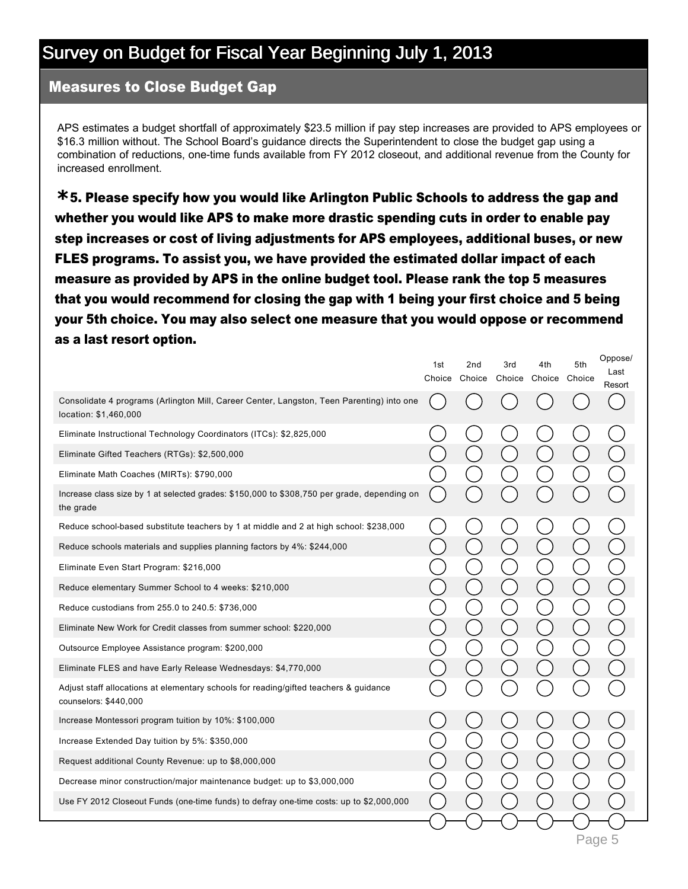#### Measures to Close Budget Gap

APS estimates a budget shortfall of approximately \$23.5 million if pay step increases are provided to APS employees or \$16.3 million without. The School Board's guidance directs the Superintendent to close the budget gap using a combination of reductions, one-time funds available from FY 2012 closeout, and additional revenue from the County for increased enrollment.

5. Please specify how you would like Arlington Public Schools to address the gap and **\*** whether you would like APS to make more drastic spending cuts in order to enable pay step increases or cost of living adjustments for APS employees, additional buses, or new FLES programs. To assist you, we have provided the estimated dollar impact of each measure as provided by APS in the online budget tool. Please rank the top 5 measures that you would recommend for closing the gap with 1 being your first choice and 5 being your 5th choice. You may also select one measure that you would oppose or recommend as a last resort option.

Oppose/

|                                                                                                                    | 1st | 2nd<br>Choice Choice | 3rd<br>Choice | 4th<br>Choice Choice | 5th    | Oppusei<br>Last<br>Resort |  |  |  |
|--------------------------------------------------------------------------------------------------------------------|-----|----------------------|---------------|----------------------|--------|---------------------------|--|--|--|
| Consolidate 4 programs (Arlington Mill, Career Center, Langston, Teen Parenting) into one<br>location: \$1,460,000 |     |                      |               |                      |        |                           |  |  |  |
| Eliminate Instructional Technology Coordinators (ITCs): \$2,825,000                                                |     |                      |               |                      |        |                           |  |  |  |
| Eliminate Gifted Teachers (RTGs): \$2,500,000                                                                      |     |                      |               |                      |        |                           |  |  |  |
| Eliminate Math Coaches (MIRTs): \$790,000                                                                          |     |                      |               |                      |        |                           |  |  |  |
| Increase class size by 1 at selected grades: \$150,000 to \$308,750 per grade, depending on<br>the grade           |     |                      |               |                      |        |                           |  |  |  |
| Reduce school-based substitute teachers by 1 at middle and 2 at high school: \$238,000                             |     |                      |               |                      |        |                           |  |  |  |
| Reduce schools materials and supplies planning factors by 4%: \$244,000                                            |     |                      |               |                      |        |                           |  |  |  |
| Eliminate Even Start Program: \$216,000                                                                            |     |                      |               |                      |        |                           |  |  |  |
| Reduce elementary Summer School to 4 weeks: \$210,000                                                              |     |                      |               |                      |        |                           |  |  |  |
| Reduce custodians from 255.0 to 240.5: \$736,000                                                                   |     |                      |               |                      |        |                           |  |  |  |
| Eliminate New Work for Credit classes from summer school: \$220,000                                                |     |                      |               |                      |        |                           |  |  |  |
| Outsource Employee Assistance program: \$200,000                                                                   |     |                      |               |                      |        |                           |  |  |  |
| Eliminate FLES and have Early Release Wednesdays: \$4,770,000                                                      |     |                      |               |                      |        |                           |  |  |  |
| Adjust staff allocations at elementary schools for reading/gifted teachers & guidance<br>counselors: \$440,000     |     |                      |               |                      |        |                           |  |  |  |
| Increase Montessori program tuition by 10%: \$100,000                                                              |     |                      |               |                      |        |                           |  |  |  |
| Increase Extended Day tuition by 5%: \$350,000                                                                     |     |                      |               |                      |        |                           |  |  |  |
| Request additional County Revenue: up to \$8,000,000                                                               |     |                      |               |                      |        |                           |  |  |  |
| Decrease minor construction/major maintenance budget: up to \$3,000,000                                            |     |                      |               |                      |        |                           |  |  |  |
| Use FY 2012 Closeout Funds (one-time funds) to defray one-time costs: up to \$2,000,000                            |     |                      |               |                      |        |                           |  |  |  |
|                                                                                                                    |     |                      |               |                      |        |                           |  |  |  |
|                                                                                                                    |     |                      |               |                      | Page 5 |                           |  |  |  |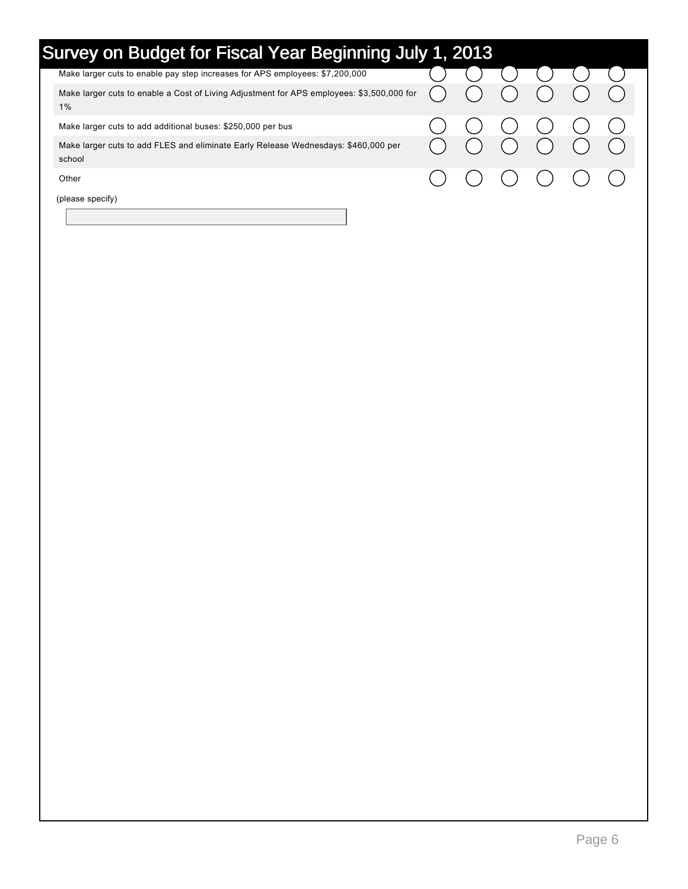| Survey on Budget for Fiscal Year Beginning July 1, 2013                                         |  |  |  |  |                         |  |  |  |  |  |  |  |
|-------------------------------------------------------------------------------------------------|--|--|--|--|-------------------------|--|--|--|--|--|--|--|
| Make larger cuts to enable pay step increases for APS employees: \$7,200,000                    |  |  |  |  |                         |  |  |  |  |  |  |  |
| Make larger cuts to enable a Cost of Living Adjustment for APS employees: \$3,500,000 for<br>1% |  |  |  |  |                         |  |  |  |  |  |  |  |
| Make larger cuts to add additional buses: \$250,000 per bus                                     |  |  |  |  |                         |  |  |  |  |  |  |  |
| Make larger cuts to add FLES and eliminate Early Release Wednesdays: \$460,000 per<br>school    |  |  |  |  |                         |  |  |  |  |  |  |  |
| Other                                                                                           |  |  |  |  | ( ) ( ) ( ) ( ) ( ) ( ) |  |  |  |  |  |  |  |
| (please specify)                                                                                |  |  |  |  |                         |  |  |  |  |  |  |  |